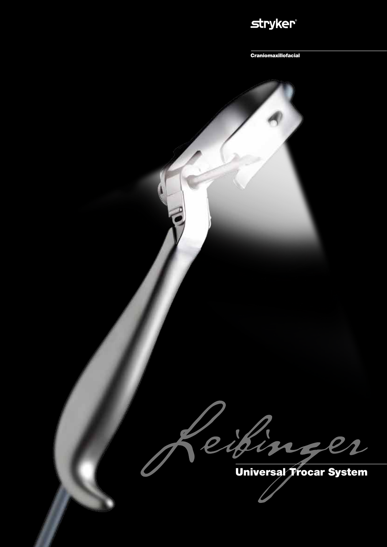### **stryker®**

Craniomaxillofacial

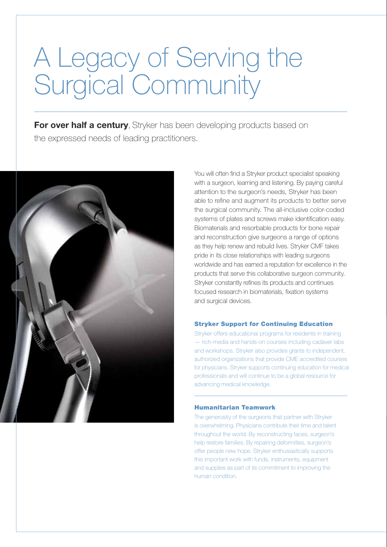# A Legacy of Serving the Surgical Community

**For over half a century**, Stryker has been developing products based on the expressed needs of leading practitioners.



You will often find a Stryker product specialist speaking with a surgeon, learning and listening. By paying careful attention to the surgeon's needs, Stryker has been able to refine and augment its products to better serve the surgical community. The all-inclusive color-coded systems of plates and screws make identification easy. Biomaterials and resorbable products for bone repair and reconstruction give surgeons a range of options as they help renew and rebuild lives. Stryker CMF takes pride in its close relationships with leading surgeons worldwide and has earned a reputation for excellence in the products that serve this collaborative surgeon community. Stryker constantly refines its products and continues focused research in biomaterials, fixation systems and surgical devices.

### Stryker Support for Continuing Education

Stryker offers educational programs for residents in training — rich-media and hands-on courses including cadaver labs and workshops. Stryker also provides grants to independent, authorized organizations that provide CME accredited courses for physicians. Stryker supports continuing education for medical professionals and will continue to be a global resource for advancing medical knowledge.

#### Humanitarian Teamwork

The generosity of the surgeons that partner with Stryker is overwhelming. Physicians contribute their time and talent throughout the world. By reconstructing faces, surgeon's help restore families. By repairing deformities, surgeon's offer people new hope. Stryker enthusiastically supports this important work with funds, instruments, equipment and supplies as part of its commitment to improving the human condition.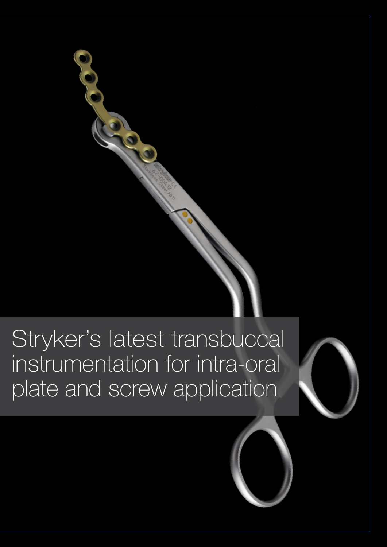## Stryker's latest transbuccal instrumentation for intra-oral plate and screw application

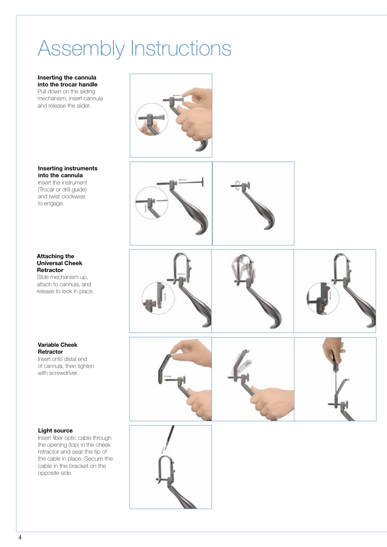## Assembly Instructions

**Inserting the cannula into the trocar handle** Pull down on the sliding mechanism, insert cannula and release the slider.

**Inserting instruments into the cannula**

Insert the instrument (Trocar or drill guide) and twist clockwise to engage.

### **Attaching the Universal Cheek Retractor**

Slide mechanism up, attach to cannula, and release to lock in place.

**Variable Cheek Retractor**  Insert onto distal end

of cannula, then tighten with screwdriver.

### **Light source**

Insert fiber optic cable through the opening (top) in the cheek retractor and seat the tip of the cable in place. Secure the cable in the bracket on the opposite side.













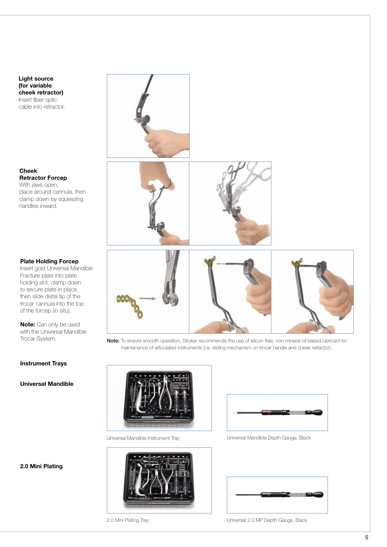**Light source (for variable cheek retractor)** Insert fiber optic cable into retractor.

**Cheek Retractor Forcep**  With jaws open, place around cannula, then clamp down by squeezing

handles inward.

#### **Plate Holding Forcep**

Insert gold Universal Mandible Fracture plate into plate holding slot, clamp down to secure plate in place, then slide distal tip of the trocar cannula into the top of the forcep (in situ).

**Note:** Can only be used with the Universal Mandible Trocar System.

#### **Instrument Trays**

**Universal Mandible**

**2.0 Mini Plating**



Note: To ensure smooth operation, Stryker recommends the use of silicon free, non-mineral oil based lubricant for maintenance of articulated instruments (i.e. sliding mechanism on trocar handle and cheek retractor).



Universal Mandible Instrument Tray Universal Mandible Depth Gauge, Black







2.0 Mini Plating Tray **National 2.0 MP Depth Gauge, Black**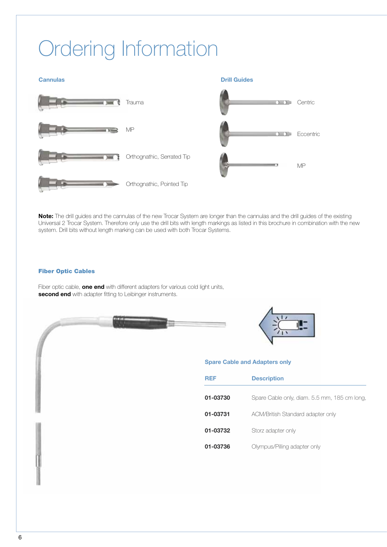## Ordering Information

**Cannulas Drill Guides** 



**Note:** The drill guides and the cannulas of the new Trocar System are longer than the cannulas and the drill guides of the existing Universal 2 Trocar System. Therefore only use the drill bits with length markings as listed in this brochure in combination with the new system. Drill bits without length marking can be used with both Trocar Systems.

### Fiber Optic Cables

Fiber optic cable, **one end** with different adapters for various cold light units, **second end** with adapter fitting to Leibinger instruments.





### **Spare Cable and Adapters only**

| REF      | <b>Description</b>                           |
|----------|----------------------------------------------|
| 01-03730 | Spare Cable only, diam. 5.5 mm, 185 cm long, |
| 01-03731 | ACM/British Standard adapter only            |
| 01-03732 | Storz adapter only                           |
| 01-03736 | Olympus/Pilling adapter only                 |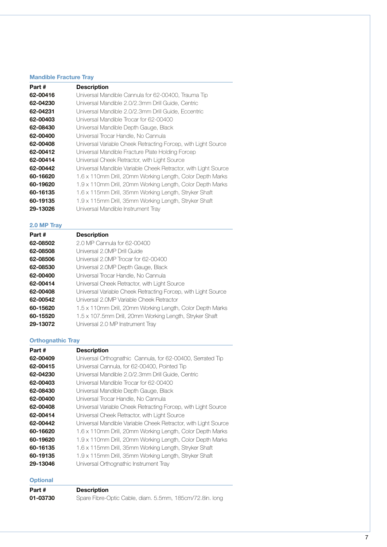### **Mandible Fracture Tray**

| Part #   | <b>Description</b>                                             |
|----------|----------------------------------------------------------------|
| 62-00416 | Universal Mandible Cannula for 62-00400, Trauma Tip            |
| 62-04230 | Universal Mandible 2.0/2.3mm Drill Guide, Centric              |
| 62-04231 | Universal Mandible 2.0/2.3mm Drill Guide, Eccentric            |
| 62-00403 | Universal Mandible Trocar for 62-00400                         |
| 62-08430 | Universal Mandible Depth Gauge, Black                          |
| 62-00400 | Universal Trocar Handle, No Cannula                            |
| 62-00408 | Universal Variable Cheek Retracting Forcep, with Light Source  |
| 62-00412 | Universal Mandible Fracture Plate Holding Forcep               |
| 62-00414 | Universal Cheek Retractor, with Light Source                   |
| 62-00442 | Universal Mandible Variable Cheek Retractor, with Light Source |
| 60-16620 | 1.6 x 110mm Drill, 20mm Working Length, Color Depth Marks      |
| 60-19620 | 1.9 x 110mm Drill, 20mm Working Length, Color Depth Marks      |
| 60-16135 | 1.6 x 115mm Drill, 35mm Working Length, Stryker Shaft          |
| 60-19135 | 1.9 x 115mm Drill, 35mm Working Length, Stryker Shaft          |
| 29-13026 | Universal Mandible Instrument Tray                             |
|          |                                                                |

### **2.0 MP Tray**

| Part#    | <b>Description</b>                                            |
|----------|---------------------------------------------------------------|
| 62-08502 | 2.0 MP Cannula for 62-00400                                   |
| 62-08508 | Universal 2.0MP Drill Guide                                   |
| 62-08506 | Universal 2.0MP Trocar for 62-00400                           |
| 62-08530 | Universal 2.0MP Depth Gauge, Black                            |
| 62-00400 | Universal Trocar Handle, No Cannula                           |
| 62-00414 | Universal Cheek Retractor, with Light Source                  |
| 62-00408 | Universal Variable Cheek Retracting Forcep, with Light Source |
| 62-00542 | Universal 2.0MP Variable Cheek Retractor                      |
| 60-15620 | 1.5 x 110mm Drill, 20mm Working Length, Color Depth Marks     |
| 60-15520 | 1.5 x 107.5mm Drill, 20mm Working Length, Stryker Shaft       |
| 29-13072 | Universal 2.0 MP Instrument Tray                              |

### **Orthognathic Tray**

| Part #   | <b>Description</b>                                             |
|----------|----------------------------------------------------------------|
| 62-00409 | Universal Orthognathic Cannula, for 62-00400, Serrated Tip     |
| 62-00415 | Universal Cannula, for 62-00400, Pointed Tip                   |
| 62-04230 | Universal Mandible 2.0/2.3mm Drill Guide, Centric              |
| 62-00403 | Universal Mandible Trocar for 62-00400                         |
| 62-08430 | Universal Mandible Depth Gauge, Black                          |
| 62-00400 | Universal Trocar Handle, No Cannula                            |
| 62-00408 | Universal Variable Cheek Retracting Forcep, with Light Source  |
| 62-00414 | Universal Cheek Retractor, with Light Source                   |
| 62-00442 | Universal Mandible Variable Cheek Retractor, with Light Source |
| 60-16620 | 1.6 x 110mm Drill, 20mm Working Length, Color Depth Marks      |
| 60-19620 | 1.9 x 110mm Drill, 20mm Working Length, Color Depth Marks      |
| 60-16135 | 1.6 x 115mm Drill, 35mm Working Length, Stryker Shaft          |
| 60-19135 | 1.9 x 115mm Drill, 35mm Working Length, Stryker Shaft          |
| 29-13046 | Universal Orthognathic Instrument Tray                         |

### **Optional**

| Part #   | <b>Description</b>                                       |
|----------|----------------------------------------------------------|
| 01-03730 | Spare Fibre-Optic Cable, diam. 5.5mm, 185cm/72.8in. long |